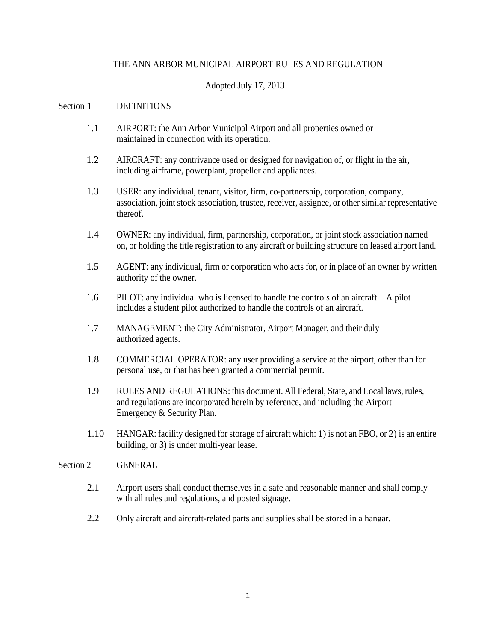## THE ANN ARBOR MUNICIPAL AIRPORT RULES AND REGULATION

## Adopted July 17, 2013

#### Section 1 DEFINITIONS

- 1.1 AIRPORT: the Ann Arbor Municipal Airport and all properties owned or maintained in connection with its operation.
- 1.2 AIRCRAFT: any contrivance used or designed for navigation of, or flight in the air, including airframe, powerplant, propeller and appliances.
- 1.3 USER: any individual, tenant, visitor, firm, co-partnership, corporation, company, association, joint stock association, trustee, receiver, assignee, or other similar representative thereof.
- 1.4 OWNER: any individual, firm, partnership, corporation, or joint stock association named on, or holding the title registration to any aircraft or building structure on leased airport land.
- 1.5 AGENT: any individual, firm or corporation who acts for, or in place of an owner by written authority of the owner.
- 1.6 PILOT: any individual who is licensed to handle the controls of an aircraft. A pilot includes a student pilot authorized to handle the controls of an aircraft.
- 1.7 MANAGEMENT: the City Administrator, Airport Manager, and their duly authorized agents.
- 1.8 COMMERCIAL OPERATOR: any user providing a service at the airport, other than for personal use, or that has been granted a commercial permit.
- 1.9 RULES AND REGULATIONS: this document. All Federal, State, and Local laws, rules, and regulations are incorporated herein by reference, and including the Airport Emergency & Security Plan.
- 1.10 HANGAR: facility designed for storage of aircraft which: 1) is not an FBO, or 2) is an entire building, or 3) is under multi-year lease.

#### Section 2 GENERAL

- 2.1 Airport users shall conduct themselves in a safe and reasonable manner and shall comply with all rules and regulations, and posted signage.
- 2.2 Only aircraft and aircraft-related parts and supplies shall be stored in a hangar.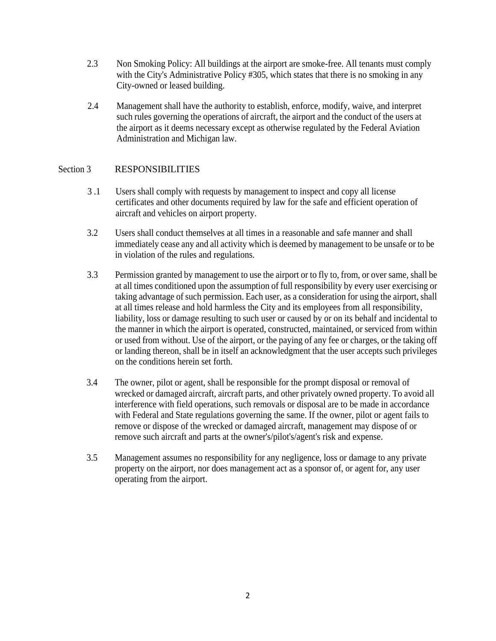- 2.3 Non Smoking Policy: All buildings at the airport are smoke-free. All tenants must comply with the City's Administrative Policy #305, which states that there is no smoking in any City-owned or leased building.
- 2.4 Management shall have the authority to establish, enforce, modify, waive, and interpret such rules governing the operations of aircraft, the airport and the conduct of the users at the airport as it deems necessary except as otherwise regulated by the Federal Aviation Administration and Michigan law.

# Section 3 RESPONSIBILITIES

- 3 .1 Users shall comply with requests by management to inspect and copy all license certificates and other documents required by law for the safe and efficient operation of aircraft and vehicles on airport property.
- 3.2 Users shall conduct themselves at all times in a reasonable and safe manner and shall immediately cease any and all activity which is deemed by management to be unsafe or to be in violation of the rules and regulations.
- 3.3 Permission granted by management to use the airport or to fly to, from, or over same, shall be at all times conditioned upon the assumption of full responsibility by every user exercising or taking advantage of such permission. Each user, as a consideration for using the airport, shall at all times release and hold harmless the City and its employees from all responsibility, liability, loss or damage resulting to such user or caused by or on its behalf and incidental to the manner in which the airport is operated, constructed, maintained, or serviced from within or used from without. Use of the airport, or the paying of any fee or charges, or the taking off or landing thereon, shall be in itself an acknowledgment that the user accepts such privileges on the conditions herein set forth.
- 3.4 The owner, pilot or agent, shall be responsible for the prompt disposal or removal of wrecked or damaged aircraft, aircraft parts, and other privately owned property. To avoid all interference with field operations, such removals or disposal are to be made in accordance with Federal and State regulations governing the same. If the owner, pilot or agent fails to remove or dispose of the wrecked or damaged aircraft, management may dispose of or remove such aircraft and parts at the owner's/pilot's/agent's risk and expense.
- 3.5 Management assumes no responsibility for any negligence, loss or damage to any private property on the airport, nor does management act as a sponsor of, or agent for, any user operating from the airport.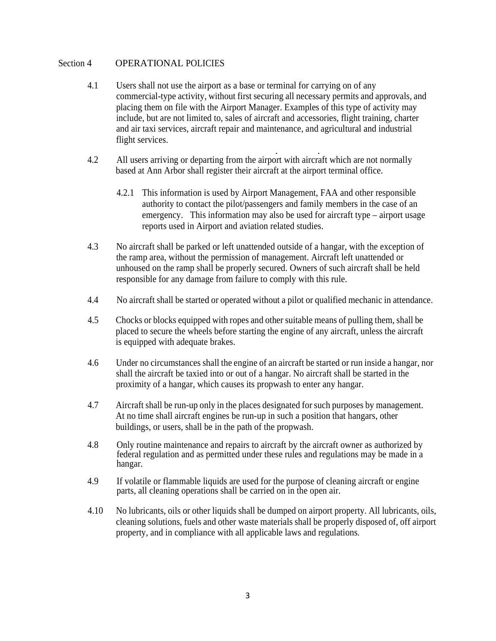## Section 4 OPERATIONAL POLICIES

- 4.1 Users shall not use the airport as a base or terminal for carrying on of any commercial-type activity, without first securing all necessary permits and approvals, and placing them on file with the Airport Manager. Examples of this type of activity may include, but are not limited to, sales of aircraft and accessories, flight training, charter and air taxi services, aircraft repair and maintenance, and agricultural and industrial flight services.
- 4.2 All users arriving or departing from the airport with aircraft which are not normally based at Ann Arbor shall register their aircraft at the airport terminal office.
	- 4.2.1 This information is used by Airport Management, FAA and other responsible authority to contact the pilot/passengers and family members in the case of an emergency. This information may also be used for aircraft type – airport usage reports used in Airport and aviation related studies.
- 4.3 No aircraft shall be parked or left unattended outside of a hangar, with the exception of the ramp area, without the permission of management. Aircraft left unattended or unhoused on the ramp shall be properly secured. Owners of such aircraft shall be held responsible for any damage from failure to comply with this rule.
- 4.4 No aircraft shall be started or operated without a pilot or qualified mechanic in attendance.
- 4.5 Chocks or blocks equipped with ropes and other suitable means of pulling them, shall be placed to secure the wheels before starting the engine of any aircraft, unless the aircraft is equipped with adequate brakes.
- 4.6 Under no circumstances shall the engine of an aircraft be started or run inside a hangar, nor shall the aircraft be taxied into or out of a hangar. No aircraft shall be started in the proximity of a hangar, which causes its propwash to enter any hangar.
- 4.7 Aircraft shall be run-up only in the places designated for such purposes by management. At no time shall aircraft engines be run-up in such a position that hangars, other buildings, or users, shall be in the path of the propwash.
- 4.8 Only routine maintenance and repairs to aircraft by the aircraft owner as authorized by federal regulation and as permitted under these rules and regulations may be made in a hangar.
- 4.9 If volatile or flammable liquids are used for the purpose of cleaning aircraft or engine parts, all cleaning operations shall be carried on in the open air.
- 4.10 No lubricants, oils or other liquids shall be dumped on airport property. All lubricants, oils, cleaning solutions, fuels and other waste materials shall be properly disposed of, off airport property, and in compliance with all applicable laws and regulations.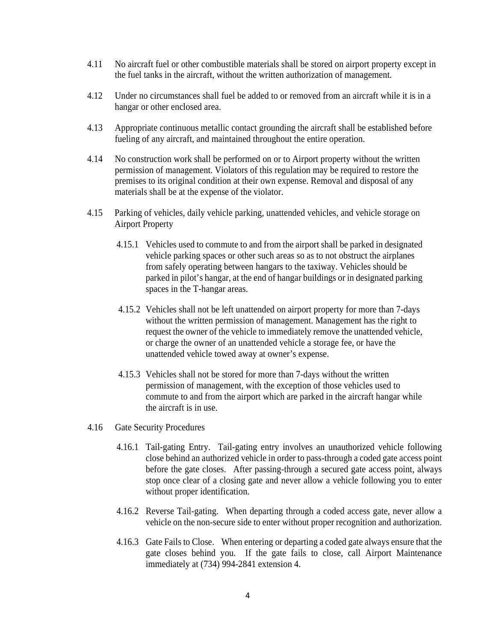- 4.11 No aircraft fuel or other combustible materials shall be stored on airport property except in the fuel tanks in the aircraft, without the written authorization of management.
- 4.12 Under no circumstances shall fuel be added to or removed from an aircraft while it is in a hangar or other enclosed area.
- 4.13 Appropriate continuous metallic contact grounding the aircraft shall be established before fueling of any aircraft, and maintained throughout the entire operation.
- 4.14 No construction work shall be performed on or to Airport property without the written permission of management. Violators of this regulation may be required to restore the premises to its original condition at their own expense. Removal and disposal of any materials shall be at the expense of the violator.
- 4.15 Parking of vehicles, daily vehicle parking, unattended vehicles, and vehicle storage on Airport Property
	- 4.15.1 Vehicles used to commute to and from the airport shall be parked in designated vehicle parking spaces or other such areas so as to not obstruct the airplanes from safely operating between hangars to the taxiway. Vehicles should be parked in pilot's hangar, at the end of hangar buildings or in designated parking spaces in the T-hangar areas.
	- 4.15.2 Vehicles shall not be left unattended on airport property for more than 7-days without the written permission of management. Management has the right to request the owner of the vehicle to immediately remove the unattended vehicle, or charge the owner of an unattended vehicle a storage fee, or have the unattended vehicle towed away at owner's expense.
	- 4.15.3 Vehicles shall not be stored for more than 7-days without the written permission of management, with the exception of those vehicles used to commute to and from the airport which are parked in the aircraft hangar while the aircraft is in use.
- 4.16 Gate Security Procedures
	- 4.16.1 Tail-gating Entry. Tail-gating entry involves an unauthorized vehicle following close behind an authorized vehicle in order to pass-through a coded gate access point before the gate closes. After passing-through a secured gate access point, always stop once clear of a closing gate and never allow a vehicle following you to enter without proper identification.
	- 4.16.2 Reverse Tail-gating. When departing through a coded access gate, never allow a vehicle on the non-secure side to enter without proper recognition and authorization.
	- 4.16.3 Gate Fails to Close. When entering or departing a coded gate always ensure that the gate closes behind you. If the gate fails to close, call Airport Maintenance immediately at (734) 994-2841 extension 4.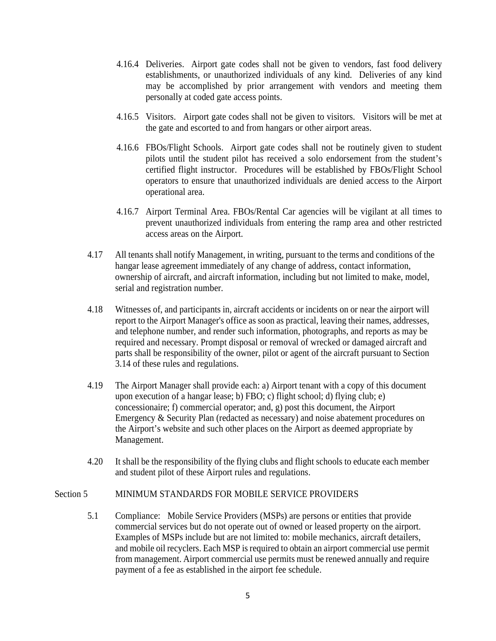- 4.16.4 Deliveries. Airport gate codes shall not be given to vendors, fast food delivery establishments, or unauthorized individuals of any kind. Deliveries of any kind may be accomplished by prior arrangement with vendors and meeting them personally at coded gate access points.
- 4.16.5 Visitors. Airport gate codes shall not be given to visitors. Visitors will be met at the gate and escorted to and from hangars or other airport areas.
- 4.16.6 FBOs/Flight Schools. Airport gate codes shall not be routinely given to student pilots until the student pilot has received a solo endorsement from the student's certified flight instructor. Procedures will be established by FBOs/Flight School operators to ensure that unauthorized individuals are denied access to the Airport operational area.
- 4.16.7 Airport Terminal Area. FBOs/Rental Car agencies will be vigilant at all times to prevent unauthorized individuals from entering the ramp area and other restricted access areas on the Airport.
- 4.17 All tenants shall notify Management, in writing, pursuant to the terms and conditions of the hangar lease agreement immediately of any change of address, contact information, ownership of aircraft, and aircraft information, including but not limited to make, model, serial and registration number.
- 4.18 Witnesses of, and participants in, aircraft accidents or incidents on or near the airport will report to the Airport Manager's office as soon as practical, leaving their names, addresses, and telephone number, and render such information, photographs, and reports as may be required and necessary. Prompt disposal or removal of wrecked or damaged aircraft and parts shall be responsibility of the owner, pilot or agent of the aircraft pursuant to Section 3.14 of these rules and regulations.
- 4.19 The Airport Manager shall provide each: a) Airport tenant with a copy of this document upon execution of a hangar lease; b) FBO; c) flight school; d) flying club; e) concessionaire; f) commercial operator; and, g) post this document, the Airport Emergency & Security Plan (redacted as necessary) and noise abatement procedures on the Airport's website and such other places on the Airport as deemed appropriate by Management.
- 4.20 It shall be the responsibility of the flying clubs and flight schools to educate each member and student pilot of these Airport rules and regulations.

# Section 5 MINIMUM STANDARDS FOR MOBILE SERVICE PROVIDERS

5.1 Compliance: Mobile Service Providers (MSPs) are persons or entities that provide commercial services but do not operate out of owned or leased property on the airport. Examples of MSPs include but are not limited to: mobile mechanics, aircraft detailers, and mobile oil recyclers. Each MSP is required to obtain an airport commercial use permit from management. Airport commercial use permits must be renewed annually and require payment of a fee as established in the airport fee schedule.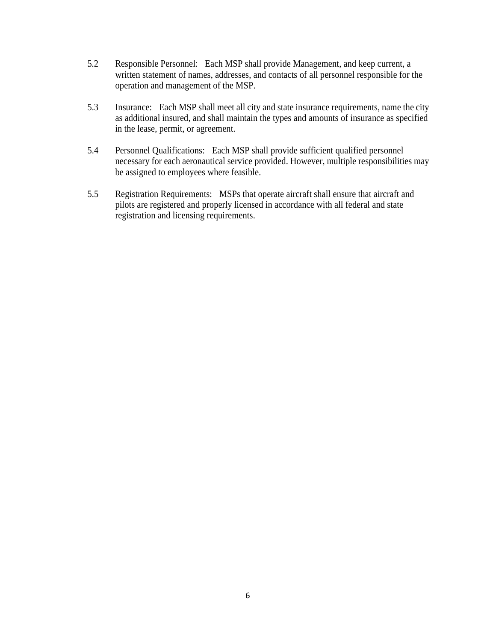- 5.2 Responsible Personnel: Each MSP shall provide Management, and keep current, a written statement of names, addresses, and contacts of all personnel responsible for the operation and management of the MSP.
- 5.3 Insurance: Each MSP shall meet all city and state insurance requirements, name the city as additional insured, and shall maintain the types and amounts of insurance as specified in the lease, permit, or agreement.
- 5.4 Personnel Qualifications: Each MSP shall provide sufficient qualified personnel necessary for each aeronautical service provided. However, multiple responsibilities may be assigned to employees where feasible.
- 5.5 Registration Requirements: MSPs that operate aircraft shall ensure that aircraft and pilots are registered and properly licensed in accordance with all federal and state registration and licensing requirements.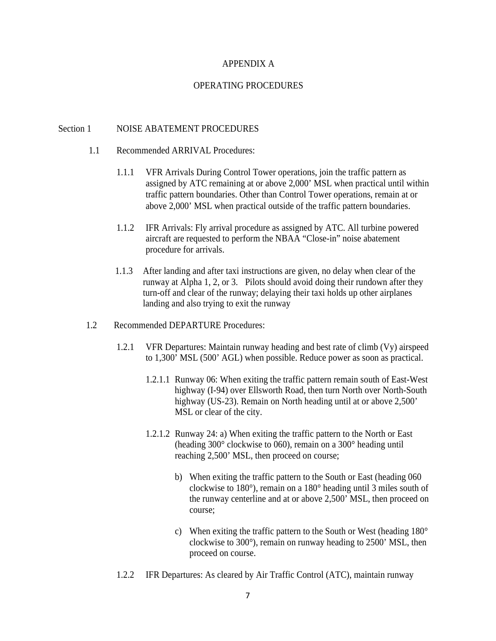### APPENDIX A

## OPERATING PROCEDURES

#### Section 1 NOISE ABATEMENT PROCEDURES

- 1.1 Recommended ARRIVAL Procedures:
	- 1.1.1 VFR Arrivals During Control Tower operations, join the traffic pattern as assigned by ATC remaining at or above 2,000' MSL when practical until within traffic pattern boundaries. Other than Control Tower operations, remain at or above 2,000' MSL when practical outside of the traffic pattern boundaries.
	- 1.1.2 IFR Arrivals: Fly arrival procedure as assigned by ATC. All turbine powered aircraft are requested to perform the NBAA "Close-in" noise abatement procedure for arrivals.
	- 1.1.3 After landing and after taxi instructions are given, no delay when clear of the runway at Alpha 1, 2, or 3. Pilots should avoid doing their rundown after they turn-off and clear of the runway; delaying their taxi holds up other airplanes landing and also trying to exit the runway

#### 1.2 Recommended DEPARTURE Procedures:

- 1.2.1 VFR Departures: Maintain runway heading and best rate of climb (Vy) airspeed to 1,300' MSL (500' AGL) when possible. Reduce power as soon as practical.
	- 1.2.1.1 Runway 06: When exiting the traffic pattern remain south of East-West highway (I-94) over Ellsworth Road, then turn North over North-South highway (US-23). Remain on North heading until at or above 2,500' MSL or clear of the city.
	- 1.2.1.2 Runway 24: a) When exiting the traffic pattern to the North or East (heading 300° clockwise to 060), remain on a 300° heading until reaching 2,500' MSL, then proceed on course;
		- b) When exiting the traffic pattern to the South or East (heading 060 clockwise to 180°), remain on a 180° heading until 3 miles south of the runway centerline and at or above 2,500' MSL, then proceed on course;
		- c) When exiting the traffic pattern to the South or West (heading 180° clockwise to 300°), remain on runway heading to 2500' MSL, then proceed on course.
- 1.2.2 IFR Departures: As cleared by Air Traffic Control (ATC), maintain runway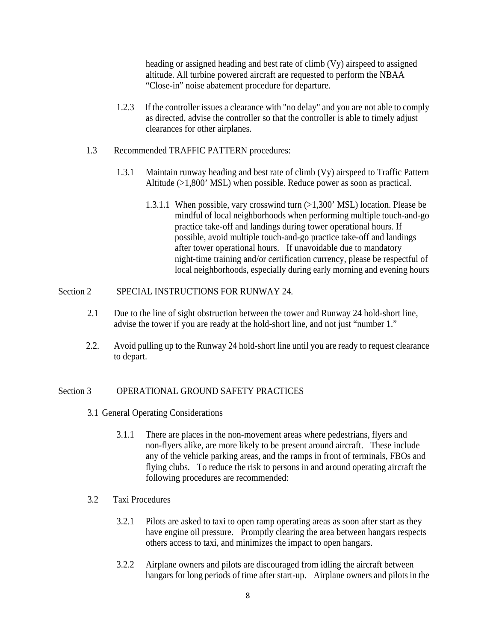heading or assigned heading and best rate of climb (Vy) airspeed to assigned altitude. All turbine powered aircraft are requested to perform the NBAA "Close-in" noise abatement procedure for departure.

- 1.2.3 If the controller issues a clearance with "no delay" and you are not able to comply as directed, advise the controller so that the controller is able to timely adjust clearances for other airplanes.
- 1.3 Recommended TRAFFIC PATTERN procedures:
	- 1.3.1 Maintain runway heading and best rate of climb (Vy) airspeed to Traffic Pattern Altitude (>1,800' MSL) when possible. Reduce power as soon as practical.
		- 1.3.1.1 When possible, vary crosswind turn (>1,300' MSL) location. Please be mindful of local neighborhoods when performing multiple touch-and-go practice take-off and landings during tower operational hours. If possible, avoid multiple touch-and-go practice take-off and landings after tower operational hours. If unavoidable due to mandatory night-time training and/or certification currency, please be respectful of local neighborhoods, especially during early morning and evening hours

## Section 2 SPECIAL INSTRUCTIONS FOR RUNWAY 24.

- 2.1 Due to the line of sight obstruction between the tower and Runway 24 hold-short line, advise the tower if you are ready at the hold-short line, and not just "number 1."
- 2.2. Avoid pulling up to the Runway 24 hold-short line until you are ready to request clearance to depart.

# Section 3 OPERATIONAL GROUND SAFETY PRACTICES

- 3.1 General Operating Considerations
	- 3.1.1 There are places in the non-movement areas where pedestrians, flyers and non-flyers alike, are more likely to be present around aircraft. These include any of the vehicle parking areas, and the ramps in front of terminals, FBOs and flying clubs. To reduce the risk to persons in and around operating aircraft the following procedures are recommended:
- 3.2 Taxi Procedures
	- 3.2.1 Pilots are asked to taxi to open ramp operating areas as soon after start as they have engine oil pressure. Promptly clearing the area between hangars respects others access to taxi, and minimizes the impact to open hangars.
	- 3.2.2 Airplane owners and pilots are discouraged from idling the aircraft between hangars for long periods of time after start-up. Airplane owners and pilots in the